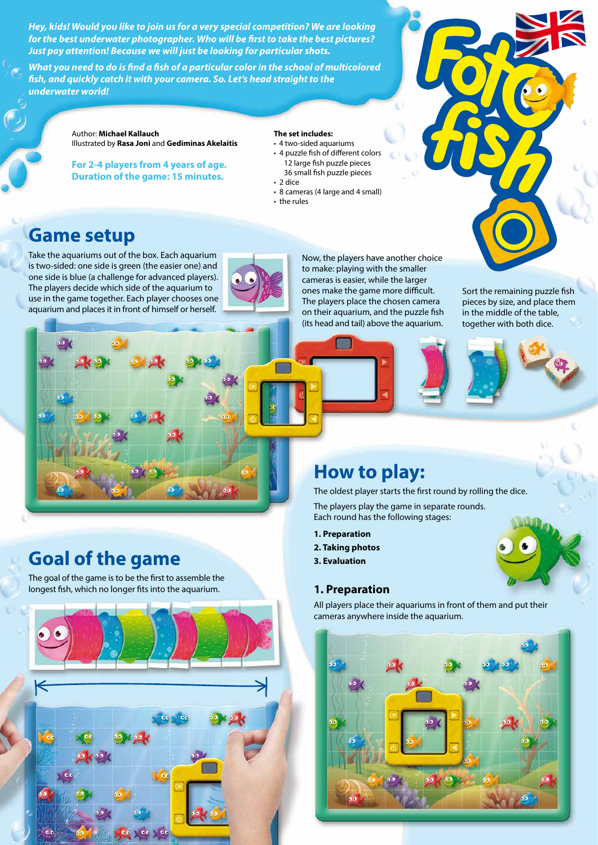*Hey, kids! Would you like to join us for a very special competition? We are looking for the best underwater photographer. Who will be first to take the best pictures? Just pay attention! Because we will just be looking for particular shots.* 

*What you need to do is find a fish of a particular color in the school of multicolored fish, and quickly catch it with your camera. So. Let's head straight to the underwater world!*

> Author: **Michael Kallauch** Illustrated by **Rasa Joni** and **Gediminas Akelaitis**

**For 2-4 players from 4 years of age. Duration of the game: 15 minutes.** 

#### **The set includes:**

- 4 two-sided aquariums • 4 puzzle fish of different colors 12 large fish puzzle pieces 36 small fish puzzle pieces • 2 dice
- 8 cameras (4 large and 4 small)
- the rules

## **Game setup**

Take the aquariums out of the box. Each aquarium is two-sided: one side is green (the easier one) and one side is blue (a challenge for advanced players). The players decide which side of the aquarium to use in the game together. Each player chooses one aquarium and places it in front of himself or herself.



Now, the players have another choice to make: playing with the smaller cameras is easier, while the larger ones make the game more difficult. The players place the chosen camera on their aquarium, and the puzzle fish (its head and tail) above the aquarium.

Sort the remaining puzzle fish pieces by size, and place them in the middle of the table, together with both dice.





# **How to play:**

The oldest player starts the first round by rolling the dice.

The players play the game in separate rounds. Each round has the following stages:

- **1. Preparation**
- **2. Taking photos**
- **3. Evaluation**

All players place their aquariums in front of them and put their cameras anywhere inside the aquarium.



# **Goal of the game**

The goal of the game is to be the first to assemble the longest fish, which no longer fits into the aquarium. **1. Preparation**